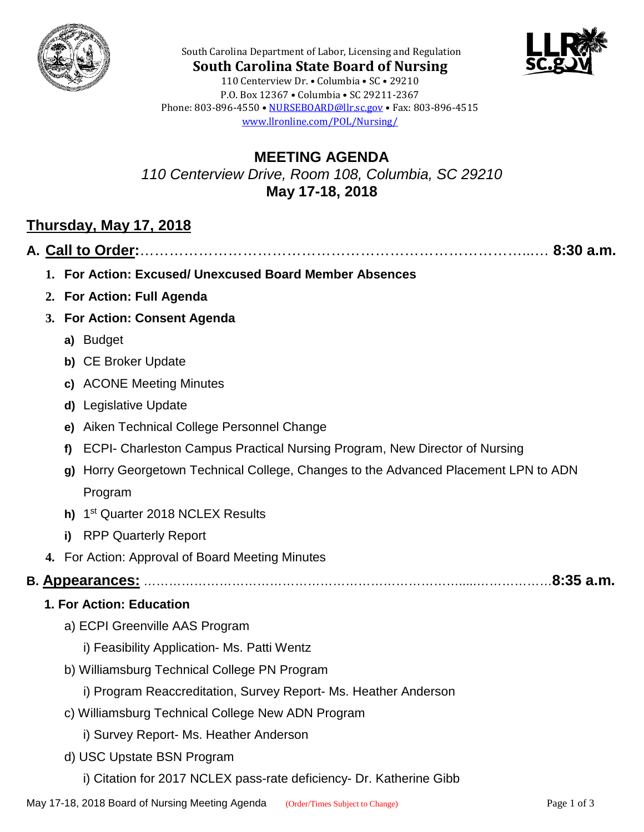



**South Carolina State Board of Nursing** 110 Centerview Dr. • Columbia • SC • 29210 P.O. Box 12367 • Columbia • SC 29211-2367 Phone: 803-896-4550 • [NURSEBOARD@llr.sc.gov](mailto:contactllr@llr.sc.gov) • Fax: 803-896-4515 [www.llronline.com/POL/Nursing/](http://www.llronline.com/POL/Nursing/)

South Carolina Department of Labor, Licensing and Regulation

## **MEETING AGENDA** *110 Centerview Drive, Room 108, Columbia, SC 29210* **May 17-18, 2018**

# **Thursday, May 17, 2018**

|--|--|--|

- **1. For Action: Excused/ Unexcused Board Member Absences**
- **2. For Action: Full Agenda**
- **3. For Action: Consent Agenda**
	- **a)** Budget
	- **b)** CE Broker Update
	- **c)** ACONE Meeting Minutes
	- **d)** Legislative Update
	- **e)** Aiken Technical College Personnel Change
	- **f)** ECPI- Charleston Campus Practical Nursing Program, New Director of Nursing
	- **g)** Horry Georgetown Technical College, Changes to the Advanced Placement LPN to ADN Program
	- **h)** 1st Quarter 2018 NCLEX Results
	- **i)** RPP Quarterly Report
- **4.** For Action: Approval of Board Meeting Minutes

## **B. Appearances:** ………………………………………………………………….....………………**8:35 a.m.**

#### **1. For Action: Education**

- a) ECPI Greenville AAS Program
	- i) Feasibility Application- Ms. Patti Wentz
- b) Williamsburg Technical College PN Program
	- i) Program Reaccreditation, Survey Report- Ms. Heather Anderson
- c) Williamsburg Technical College New ADN Program
	- i) Survey Report- Ms. Heather Anderson
- d) USC Upstate BSN Program
	- i) Citation for 2017 NCLEX pass-rate deficiency- Dr. Katherine Gibb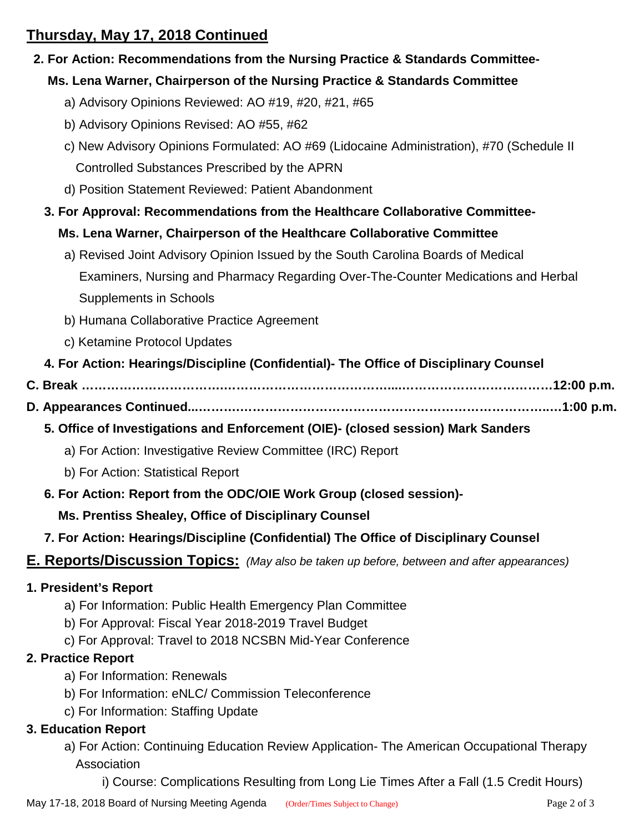# **Thursday, May 17, 2018 Continued**

### **2. For Action: Recommendations from the Nursing Practice & Standards Committee-**

### **Ms. Lena Warner, Chairperson of the Nursing Practice & Standards Committee**

- a) Advisory Opinions Reviewed: AO #19, #20, #21, #65
- b) Advisory Opinions Revised: AO #55, #62
- c) New Advisory Opinions Formulated: AO #69 (Lidocaine Administration), #70 (Schedule II Controlled Substances Prescribed by the APRN
- d) Position Statement Reviewed: Patient Abandonment

### **3. For Approval: Recommendations from the Healthcare Collaborative Committee-**

#### **Ms. Lena Warner, Chairperson of the Healthcare Collaborative Committee**

- a) Revised Joint Advisory Opinion Issued by the South Carolina Boards of Medical Examiners, Nursing and Pharmacy Regarding Over-The-Counter Medications and Herbal Supplements in Schools
- b) Humana Collaborative Practice Agreement
- c) Ketamine Protocol Updates
- **4. For Action: Hearings/Discipline (Confidential)- The Office of Disciplinary Counsel**
- **C. Break …………………………….…………………………………....………………………………12:00 p.m.**
- **D. Appearances Continued...……….………………………………………………………………..…1:00 p.m.**
	- **5. Office of Investigations and Enforcement (OIE)- (closed session) Mark Sanders**
		- a) For Action: Investigative Review Committee (IRC) Report
		- b) For Action: Statistical Report
	- **6. For Action: Report from the ODC/OIE Work Group (closed session)-**

#### **Ms. Prentiss Shealey, Office of Disciplinary Counsel**

 **7. For Action: Hearings/Discipline (Confidential) The Office of Disciplinary Counsel**

#### **E. Reports/Discussion Topics:** *(May also be taken up before, between and after appearances)*

#### **1. President's Report**

- a) For Information: Public Health Emergency Plan Committee
- b) For Approval: Fiscal Year 2018-2019 Travel Budget
- c) For Approval: Travel to 2018 NCSBN Mid-Year Conference

#### **2. Practice Report**

- a) For Information: Renewals
- b) For Information: eNLC/ Commission Teleconference
- c) For Information: Staffing Update

#### **3. Education Report**

- a) For Action: Continuing Education Review Application- The American Occupational Therapy Association
	- i) Course: Complications Resulting from Long Lie Times After a Fall (1.5 Credit Hours)